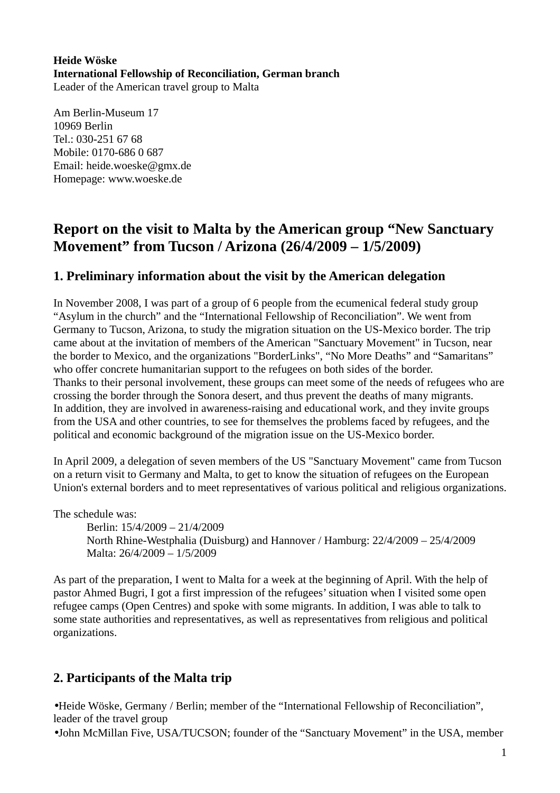#### **Heide Wöske International Fellowship of Reconciliation, German branch**  Leader of the American travel group to Malta

Am Berlin-Museum 17 10969 Berlin Tel.: 030-251 67 68 Mobile: 0170-686 0 687 Email: heide.woeske@gmx.de Homepage: www.woeske.de

# **Report on the visit to Malta by the American group "New Sanctuary Movement" from Tucson / Arizona (26/4/2009 – 1/5/2009)**

## **1. Preliminary information about the visit by the American delegation**

In November 2008, I was part of a group of 6 people from the ecumenical federal study group "Asylum in the church" and the "International Fellowship of Reconciliation". We went from Germany to Tucson, Arizona, to study the migration situation on the US-Mexico border. The trip came about at the invitation of members of the American "Sanctuary Movement" in Tucson, near the border to Mexico, and the organizations "BorderLinks", "No More Deaths" and "Samaritans" who offer concrete humanitarian support to the refugees on both sides of the border. Thanks to their personal involvement, these groups can meet some of the needs of refugees who are crossing the border through the Sonora desert, and thus prevent the deaths of many migrants. In addition, they are involved in awareness-raising and educational work, and they invite groups from the USA and other countries, to see for themselves the problems faced by refugees, and the political and economic background of the migration issue on the US-Mexico border.

In April 2009, a delegation of seven members of the US "Sanctuary Movement" came from Tucson on a return visit to Germany and Malta, to get to know the situation of refugees on the European Union's external borders and to meet representatives of various political and religious organizations.

The schedule was:

Berlin: 15/4/2009 – 21/4/2009 North Rhine-Westphalia (Duisburg) and Hannover / Hamburg: 22/4/2009 – 25/4/2009 Malta: 26/4/2009 – 1/5/2009

As part of the preparation, I went to Malta for a week at the beginning of April. With the help of pastor Ahmed Bugri, I got a first impression of the refugees' situation when I visited some open refugee camps (Open Centres) and spoke with some migrants. In addition, I was able to talk to some state authorities and representatives, as well as representatives from religious and political organizations.

# **2. Participants of the Malta trip**

•Heide Wöske, Germany / Berlin; member of the "International Fellowship of Reconciliation", leader of the travel group

•John McMillan Five, USA/TUCSON; founder of the "Sanctuary Movement" in the USA, member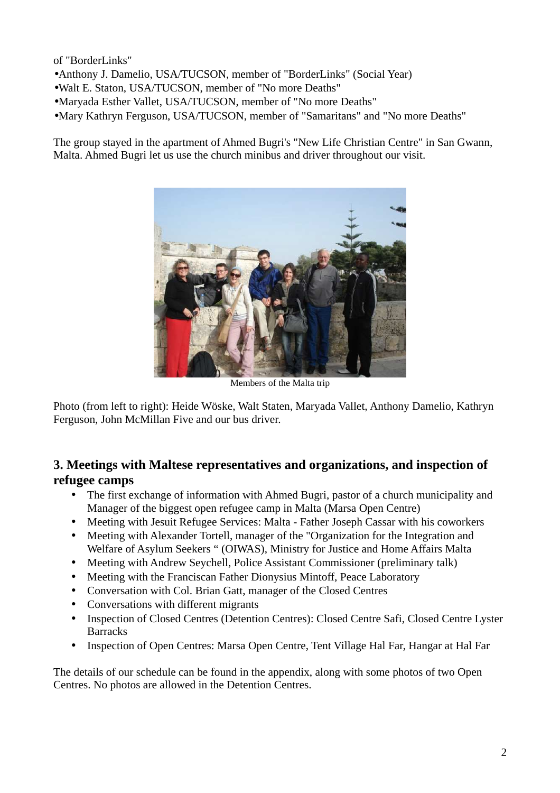of "BorderLinks"

- •Anthony J. Damelio, USA/TUCSON, member of "BorderLinks" (Social Year)
- •Walt E. Staton, USA/TUCSON, member of "No more Deaths"
- •Maryada Esther Vallet, USA/TUCSON, member of "No more Deaths"
- •Mary Kathryn Ferguson, USA/TUCSON, member of "Samaritans" and "No more Deaths"

The group stayed in the apartment of Ahmed Bugri's "New Life Christian Centre" in San Gwann, Malta. Ahmed Bugri let us use the church minibus and driver throughout our visit.



Members of the Malta trip

Photo (from left to right): Heide Wöske, Walt Staten, Maryada Vallet, Anthony Damelio, Kathryn Ferguson, John McMillan Five and our bus driver.

## **3. Meetings with Maltese representatives and organizations, and inspection of refugee camps**

- The first exchange of information with Ahmed Bugri, pastor of a church municipality and Manager of the biggest open refugee camp in Malta (Marsa Open Centre)
- Meeting with Jesuit Refugee Services: Malta Father Joseph Cassar with his coworkers
- Meeting with Alexander Tortell, manager of the "Organization for the Integration and Welfare of Asylum Seekers " (OIWAS), Ministry for Justice and Home Affairs Malta
- Meeting with Andrew Seychell, Police Assistant Commissioner (preliminary talk)
- Meeting with the Franciscan Father Dionysius Mintoff, Peace Laboratory
- Conversation with Col. Brian Gatt, manager of the Closed Centres
- Conversations with different migrants
- Inspection of Closed Centres (Detention Centres): Closed Centre Safi, Closed Centre Lyster **Barracks**
- Inspection of Open Centres: Marsa Open Centre, Tent Village Hal Far, Hangar at Hal Far

The details of our schedule can be found in the appendix, along with some photos of two Open Centres. No photos are allowed in the Detention Centres.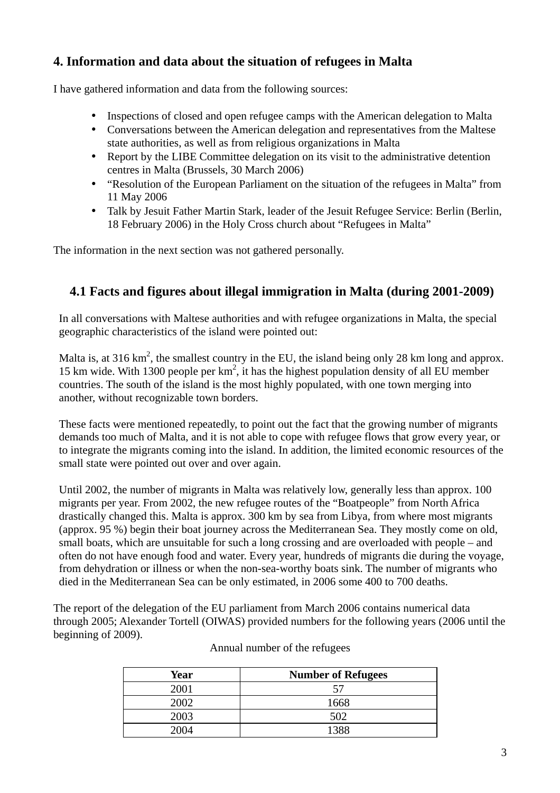# **4. Information and data about the situation of refugees in Malta**

I have gathered information and data from the following sources:

- Inspections of closed and open refugee camps with the American delegation to Malta
- Conversations between the American delegation and representatives from the Maltese state authorities, as well as from religious organizations in Malta
- Report by the LIBE Committee delegation on its visit to the administrative detention centres in Malta (Brussels, 30 March 2006)
- "Resolution of the European Parliament on the situation of the refugees in Malta" from 11 May 2006
- Talk by Jesuit Father Martin Stark, leader of the Jesuit Refugee Service: Berlin (Berlin, 18 February 2006) in the Holy Cross church about "Refugees in Malta"

The information in the next section was not gathered personally.

# **4.1 Facts and figures about illegal immigration in Malta (during 2001-2009)**

In all conversations with Maltese authorities and with refugee organizations in Malta, the special geographic characteristics of the island were pointed out:

Malta is, at 316 km<sup>2</sup>, the smallest country in the EU, the island being only 28 km long and approx. 15 km wide. With 1300 people per  $km^2$ , it has the highest population density of all EU member countries. The south of the island is the most highly populated, with one town merging into another, without recognizable town borders.

These facts were mentioned repeatedly, to point out the fact that the growing number of migrants demands too much of Malta, and it is not able to cope with refugee flows that grow every year, or to integrate the migrants coming into the island. In addition, the limited economic resources of the small state were pointed out over and over again.

Until 2002, the number of migrants in Malta was relatively low, generally less than approx. 100 migrants per year. From 2002, the new refugee routes of the "Boatpeople" from North Africa drastically changed this. Malta is approx. 300 km by sea from Libya, from where most migrants (approx. 95 %) begin their boat journey across the Mediterranean Sea. They mostly come on old, small boats, which are unsuitable for such a long crossing and are overloaded with people – and often do not have enough food and water. Every year, hundreds of migrants die during the voyage, from dehydration or illness or when the non-sea-worthy boats sink. The number of migrants who died in the Mediterranean Sea can be only estimated, in 2006 some 400 to 700 deaths.

The report of the delegation of the EU parliament from March 2006 contains numerical data through 2005; Alexander Tortell (OIWAS) provided numbers for the following years (2006 until the beginning of 2009).

| Year | <b>Number of Refugees</b> |
|------|---------------------------|
| 2001 | 57                        |
| 2002 | 1668                      |
| 2003 | 502                       |
| 2004 | 1388                      |

### Annual number of the refugees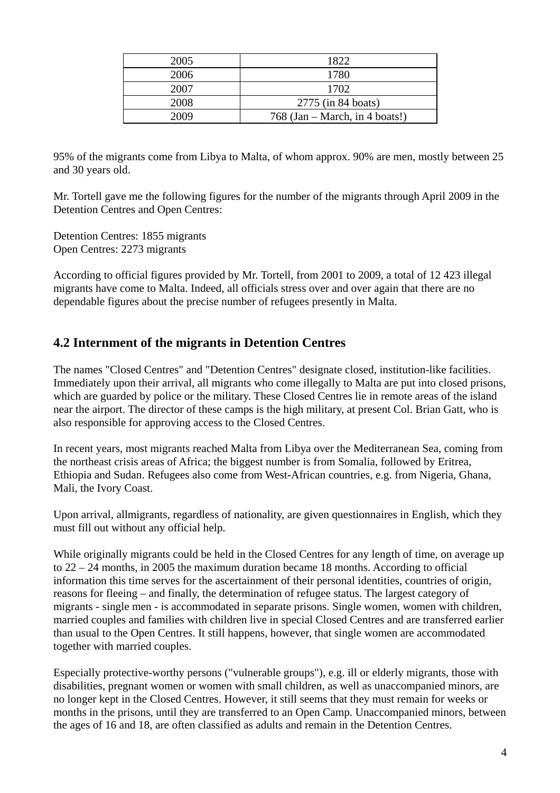| 2005 | 1822                           |
|------|--------------------------------|
| 2006 | 1780                           |
| 2007 | 1702                           |
| 2008 | 2775 (in 84 boats)             |
| 2009 | 768 (Jan – March, in 4 boats!) |

95% of the migrants come from Libya to Malta, of whom approx. 90% are men, mostly between 25 and 30 years old.

Mr. Tortell gave me the following figures for the number of the migrants through April 2009 in the Detention Centres and Open Centres:

Detention Centres: 1855 migrants Open Centres: 2273 migrants

According to official figures provided by Mr. Tortell, from 2001 to 2009, a total of 12 423 illegal migrants have come to Malta. Indeed, all officials stress over and over again that there are no dependable figures about the precise number of refugees presently in Malta.

## **4.2 Internment of the migrants in Detention Centres**

The names "Closed Centres" and "Detention Centres" designate closed, institution-like facilities. Immediately upon their arrival, all migrants who come illegally to Malta are put into closed prisons, which are guarded by police or the military. These Closed Centres lie in remote areas of the island near the airport. The director of these camps is the high military, at present Col. Brian Gatt, who is also responsible for approving access to the Closed Centres.

In recent years, most migrants reached Malta from Libya over the Mediterranean Sea, coming from the northeast crisis areas of Africa; the biggest number is from Somalia, followed by Eritrea, Ethiopia and Sudan. Refugees also come from West-African countries, e.g. from Nigeria, Ghana, Mali, the Ivory Coast.

Upon arrival, allmigrants, regardless of nationality, are given questionnaires in English, which they must fill out without any official help.

While originally migrants could be held in the Closed Centres for any length of time, on average up to 22 – 24 months, in 2005 the maximum duration became 18 months. According to official information this time serves for the ascertainment of their personal identities, countries of origin, reasons for fleeing – and finally, the determination of refugee status. The largest category of migrants - single men - is accommodated in separate prisons. Single women, women with children, married couples and families with children live in special Closed Centres and are transferred earlier than usual to the Open Centres. It still happens, however, that single women are accommodated together with married couples.

Especially protective-worthy persons ("vulnerable groups"), e.g. ill or elderly migrants, those with disabilities, pregnant women or women with small children, as well as unaccompanied minors, are no longer kept in the Closed Centres. However, it still seems that they must remain for weeks or months in the prisons, until they are transferred to an Open Camp. Unaccompanied minors, between the ages of 16 and 18, are often classified as adults and remain in the Detention Centres.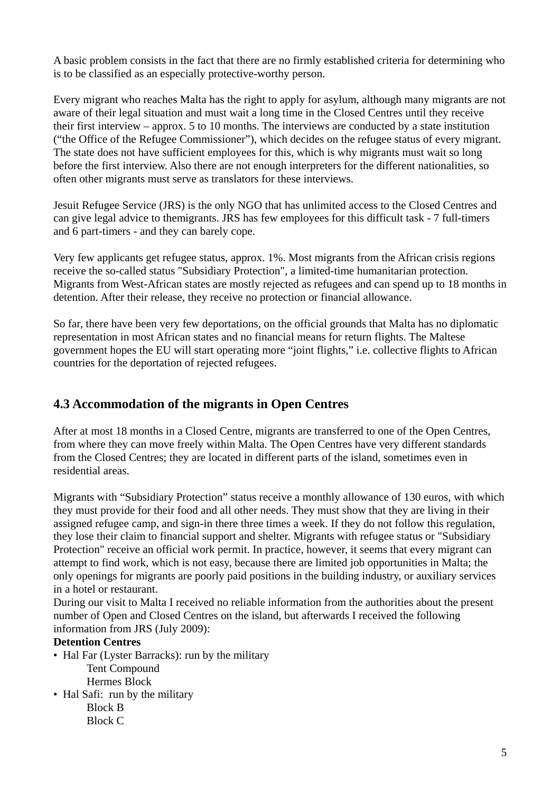A basic problem consists in the fact that there are no firmly established criteria for determining who is to be classified as an especially protective-worthy person.

Every migrant who reaches Malta has the right to apply for asylum, although many migrants are not aware of their legal situation and must wait a long time in the Closed Centres until they receive their first interview – approx. 5 to 10 months. The interviews are conducted by a state institution ("the Office of the Refugee Commissioner"), which decides on the refugee status of every migrant. The state does not have sufficient employees for this, which is why migrants must wait so long before the first interview. Also there are not enough interpreters for the different nationalities, so often other migrants must serve as translators for these interviews.

Jesuit Refugee Service (JRS) is the only NGO that has unlimited access to the Closed Centres and can give legal advice to themigrants. JRS has few employees for this difficult task - 7 full-timers and 6 part-timers - and they can barely cope.

Very few applicants get refugee status, approx. 1%. Most migrants from the African crisis regions receive the so-called status "Subsidiary Protection", a limited-time humanitarian protection. Migrants from West-African states are mostly rejected as refugees and can spend up to 18 months in detention. After their release, they receive no protection or financial allowance.

So far, there have been very few deportations, on the official grounds that Malta has no diplomatic representation in most African states and no financial means for return flights. The Maltese government hopes the EU will start operating more "joint flights," i.e. collective flights to African countries for the deportation of rejected refugees.

# **4.3 Accommodation of the migrants in Open Centres**

After at most 18 months in a Closed Centre, migrants are transferred to one of the Open Centres, from where they can move freely within Malta. The Open Centres have very different standards from the Closed Centres; they are located in different parts of the island, sometimes even in residential areas.

Migrants with "Subsidiary Protection" status receive a monthly allowance of 130 euros, with which they must provide for their food and all other needs. They must show that they are living in their assigned refugee camp, and sign-in there three times a week. If they do not follow this regulation, they lose their claim to financial support and shelter. Migrants with refugee status or "Subsidiary Protection" receive an official work permit. In practice, however, it seems that every migrant can attempt to find work, which is not easy, because there are limited job opportunities in Malta; the only openings for migrants are poorly paid positions in the building industry, or auxiliary services in a hotel or restaurant.

During our visit to Malta I received no reliable information from the authorities about the present number of Open and Closed Centres on the island, but afterwards I received the following information from JRS (July 2009):

### **Detention Centres**

- Hal Far (Lyster Barracks): run by the military Tent Compound Hermes Block
- Hal Safi: run by the military
	- Block B Block C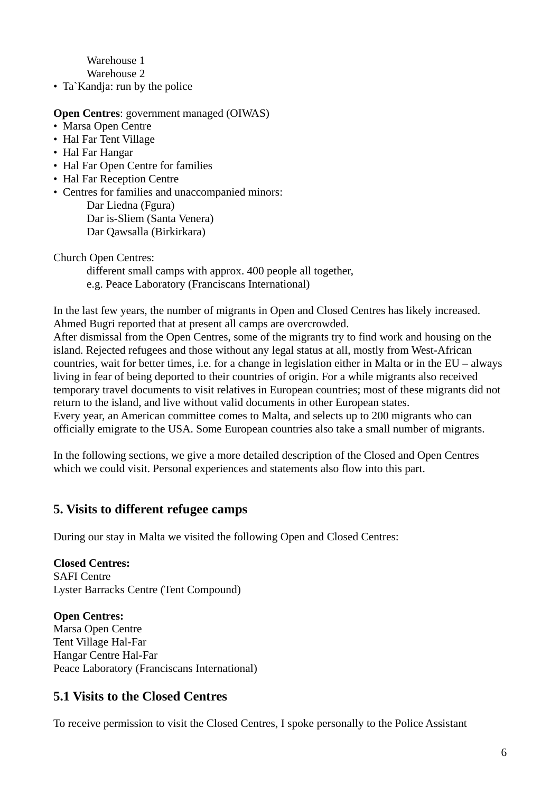Warehouse 1 Warehouse 2

• Ta`Kandja: run by the police

**Open Centres**: government managed (OIWAS)

- Marsa Open Centre
- Hal Far Tent Village
- Hal Far Hangar
- Hal Far Open Centre for families
- Hal Far Reception Centre
- Centres for families and unaccompanied minors: Dar Liedna (Fgura)

Dar is-Sliem (Santa Venera) Dar Qawsalla (Birkirkara)

Church Open Centres:

 different small camps with approx. 400 people all together, e.g. Peace Laboratory (Franciscans International)

In the last few years, the number of migrants in Open and Closed Centres has likely increased. Ahmed Bugri reported that at present all camps are overcrowded.

After dismissal from the Open Centres, some of the migrants try to find work and housing on the island. Rejected refugees and those without any legal status at all, mostly from West-African countries, wait for better times, i.e. for a change in legislation either in Malta or in the EU – always living in fear of being deported to their countries of origin. For a while migrants also received temporary travel documents to visit relatives in European countries; most of these migrants did not return to the island, and live without valid documents in other European states. Every year, an American committee comes to Malta, and selects up to 200 migrants who can officially emigrate to the USA. Some European countries also take a small number of migrants.

In the following sections, we give a more detailed description of the Closed and Open Centres which we could visit. Personal experiences and statements also flow into this part.

## **5. Visits to different refugee camps**

During our stay in Malta we visited the following Open and Closed Centres:

**Closed Centres:**  SAFI Centre Lyster Barracks Centre (Tent Compound)

**Open Centres:**  Marsa Open Centre Tent Village Hal-Far Hangar Centre Hal-Far Peace Laboratory (Franciscans International)

## **5.1 Visits to the Closed Centres**

To receive permission to visit the Closed Centres, I spoke personally to the Police Assistant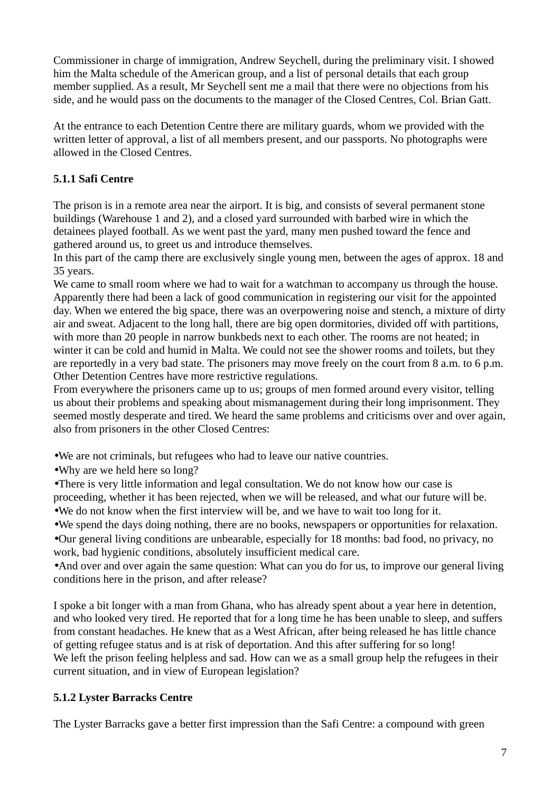Commissioner in charge of immigration, Andrew Seychell, during the preliminary visit. I showed him the Malta schedule of the American group, and a list of personal details that each group member supplied. As a result, Mr Seychell sent me a mail that there were no objections from his side, and he would pass on the documents to the manager of the Closed Centres, Col. Brian Gatt.

At the entrance to each Detention Centre there are military guards, whom we provided with the written letter of approval, a list of all members present, and our passports. No photographs were allowed in the Closed Centres.

## **5.1.1 Safi Centre**

The prison is in a remote area near the airport. It is big, and consists of several permanent stone buildings (Warehouse 1 and 2), and a closed yard surrounded with barbed wire in which the detainees played football. As we went past the yard, many men pushed toward the fence and gathered around us, to greet us and introduce themselves.

In this part of the camp there are exclusively single young men, between the ages of approx. 18 and 35 years.

We came to small room where we had to wait for a watchman to accompany us through the house. Apparently there had been a lack of good communication in registering our visit for the appointed day. When we entered the big space, there was an overpowering noise and stench, a mixture of dirty air and sweat. Adjacent to the long hall, there are big open dormitories, divided off with partitions, with more than 20 people in narrow bunkbeds next to each other. The rooms are not heated; in winter it can be cold and humid in Malta. We could not see the shower rooms and toilets, but they are reportedly in a very bad state. The prisoners may move freely on the court from 8 a.m. to 6 p.m. Other Detention Centres have more restrictive regulations.

From everywhere the prisoners came up to us; groups of men formed around every visitor, telling us about their problems and speaking about mismanagement during their long imprisonment. They seemed mostly desperate and tired. We heard the same problems and criticisms over and over again, also from prisoners in the other Closed Centres:

- •We are not criminals, but refugees who had to leave our native countries.
- •Why are we held here so long?

•There is very little information and legal consultation. We do not know how our case is proceeding, whether it has been rejected, when we will be released, and what our future will be.

•We do not know when the first interview will be, and we have to wait too long for it.

•We spend the days doing nothing, there are no books, newspapers or opportunities for relaxation. •Our general living conditions are unbearable, especially for 18 months: bad food, no privacy, no work, bad hygienic conditions, absolutely insufficient medical care.

•And over and over again the same question: What can you do for us, to improve our general living conditions here in the prison, and after release?

I spoke a bit longer with a man from Ghana, who has already spent about a year here in detention, and who looked very tired. He reported that for a long time he has been unable to sleep, and suffers from constant headaches. He knew that as a West African, after being released he has little chance of getting refugee status and is at risk of deportation. And this after suffering for so long! We left the prison feeling helpless and sad. How can we as a small group help the refugees in their current situation, and in view of European legislation?

## **5.1.2 Lyster Barracks Centre**

The Lyster Barracks gave a better first impression than the Safi Centre: a compound with green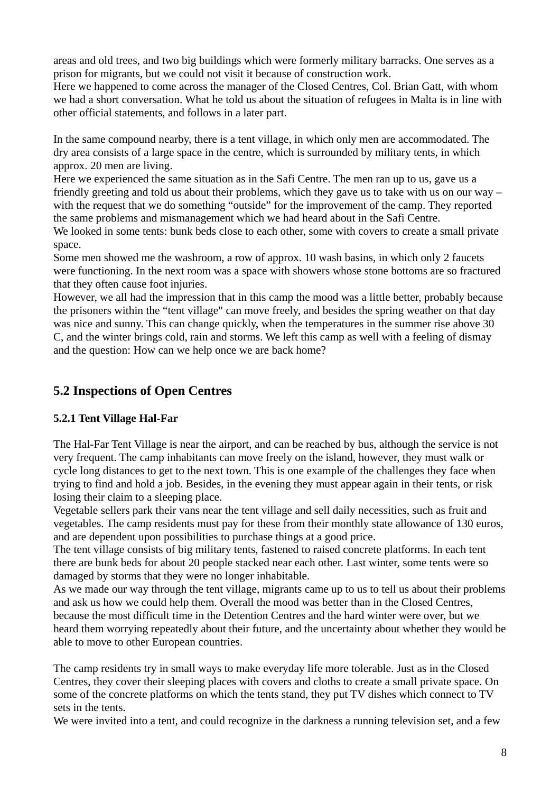areas and old trees, and two big buildings which were formerly military barracks. One serves as a prison for migrants, but we could not visit it because of construction work.

Here we happened to come across the manager of the Closed Centres, Col. Brian Gatt, with whom we had a short conversation. What he told us about the situation of refugees in Malta is in line with other official statements, and follows in a later part.

In the same compound nearby, there is a tent village, in which only men are accommodated. The dry area consists of a large space in the centre, which is surrounded by military tents, in which approx. 20 men are living.

Here we experienced the same situation as in the Safi Centre. The men ran up to us, gave us a friendly greeting and told us about their problems, which they gave us to take with us on our way – with the request that we do something "outside" for the improvement of the camp. They reported the same problems and mismanagement which we had heard about in the Safi Centre.

We looked in some tents: bunk beds close to each other, some with covers to create a small private space.

Some men showed me the washroom, a row of approx. 10 wash basins, in which only 2 faucets were functioning. In the next room was a space with showers whose stone bottoms are so fractured that they often cause foot injuries.

However, we all had the impression that in this camp the mood was a little better, probably because the prisoners within the "tent village" can move freely, and besides the spring weather on that day was nice and sunny. This can change quickly, when the temperatures in the summer rise above 30 C, and the winter brings cold, rain and storms. We left this camp as well with a feeling of dismay and the question: How can we help once we are back home?

# **5.2 Inspections of Open Centres**

## **5.2.1 Tent Village Hal-Far**

The Hal-Far Tent Village is near the airport, and can be reached by bus, although the service is not very frequent. The camp inhabitants can move freely on the island, however, they must walk or cycle long distances to get to the next town. This is one example of the challenges they face when trying to find and hold a job. Besides, in the evening they must appear again in their tents, or risk losing their claim to a sleeping place.

Vegetable sellers park their vans near the tent village and sell daily necessities, such as fruit and vegetables. The camp residents must pay for these from their monthly state allowance of 130 euros, and are dependent upon possibilities to purchase things at a good price.

The tent village consists of big military tents, fastened to raised concrete platforms. In each tent there are bunk beds for about 20 people stacked near each other. Last winter, some tents were so damaged by storms that they were no longer inhabitable.

As we made our way through the tent village, migrants came up to us to tell us about their problems and ask us how we could help them. Overall the mood was better than in the Closed Centres, because the most difficult time in the Detention Centres and the hard winter were over, but we heard them worrying repeatedly about their future, and the uncertainty about whether they would be able to move to other European countries.

The camp residents try in small ways to make everyday life more tolerable. Just as in the Closed Centres, they cover their sleeping places with covers and cloths to create a small private space. On some of the concrete platforms on which the tents stand, they put TV dishes which connect to TV sets in the tents.

We were invited into a tent, and could recognize in the darkness a running television set, and a few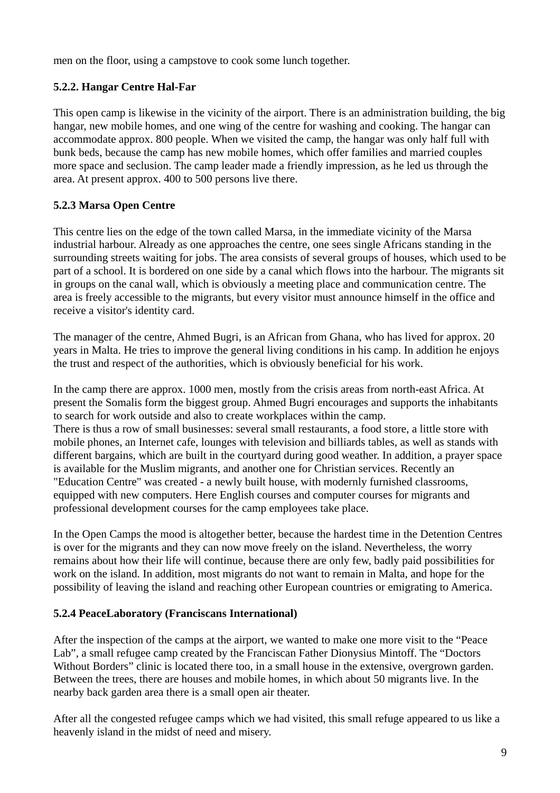men on the floor, using a campstove to cook some lunch together.

## **5.2.2. Hangar Centre Hal-Far**

This open camp is likewise in the vicinity of the airport. There is an administration building, the big hangar, new mobile homes, and one wing of the centre for washing and cooking. The hangar can accommodate approx. 800 people. When we visited the camp, the hangar was only half full with bunk beds, because the camp has new mobile homes, which offer families and married couples more space and seclusion. The camp leader made a friendly impression, as he led us through the area. At present approx. 400 to 500 persons live there.

## **5.2.3 Marsa Open Centre**

This centre lies on the edge of the town called Marsa, in the immediate vicinity of the Marsa industrial harbour. Already as one approaches the centre, one sees single Africans standing in the surrounding streets waiting for jobs. The area consists of several groups of houses, which used to be part of a school. It is bordered on one side by a canal which flows into the harbour. The migrants sit in groups on the canal wall, which is obviously a meeting place and communication centre. The area is freely accessible to the migrants, but every visitor must announce himself in the office and receive a visitor's identity card.

The manager of the centre, Ahmed Bugri, is an African from Ghana, who has lived for approx. 20 years in Malta. He tries to improve the general living conditions in his camp. In addition he enjoys the trust and respect of the authorities, which is obviously beneficial for his work.

In the camp there are approx. 1000 men, mostly from the crisis areas from north-east Africa. At present the Somalis form the biggest group. Ahmed Bugri encourages and supports the inhabitants to search for work outside and also to create workplaces within the camp. There is thus a row of small businesses: several small restaurants, a food store, a little store with mobile phones, an Internet cafe, lounges with television and billiards tables, as well as stands with different bargains, which are built in the courtyard during good weather. In addition, a prayer space is available for the Muslim migrants, and another one for Christian services. Recently an "Education Centre" was created - a newly built house, with modernly furnished classrooms, equipped with new computers. Here English courses and computer courses for migrants and professional development courses for the camp employees take place.

In the Open Camps the mood is altogether better, because the hardest time in the Detention Centres is over for the migrants and they can now move freely on the island. Nevertheless, the worry remains about how their life will continue, because there are only few, badly paid possibilities for work on the island. In addition, most migrants do not want to remain in Malta, and hope for the possibility of leaving the island and reaching other European countries or emigrating to America.

## **5.2.4 PeaceLaboratory (Franciscans International)**

After the inspection of the camps at the airport, we wanted to make one more visit to the "Peace Lab", a small refugee camp created by the Franciscan Father Dionysius Mintoff. The "Doctors Without Borders" clinic is located there too, in a small house in the extensive, overgrown garden. Between the trees, there are houses and mobile homes, in which about 50 migrants live. In the nearby back garden area there is a small open air theater.

After all the congested refugee camps which we had visited, this small refuge appeared to us like a heavenly island in the midst of need and misery.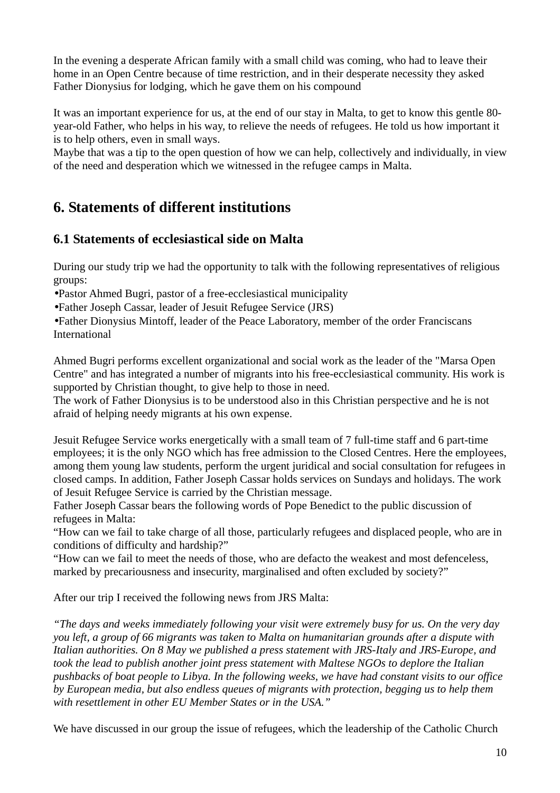In the evening a desperate African family with a small child was coming, who had to leave their home in an Open Centre because of time restriction, and in their desperate necessity they asked Father Dionysius for lodging, which he gave them on his compound

It was an important experience for us, at the end of our stay in Malta, to get to know this gentle 80 year-old Father, who helps in his way, to relieve the needs of refugees. He told us how important it is to help others, even in small ways.

Maybe that was a tip to the open question of how we can help, collectively and individually, in view of the need and desperation which we witnessed in the refugee camps in Malta.

# **6. Statements of different institutions**

# **6.1 Statements of ecclesiastical side on Malta**

During our study trip we had the opportunity to talk with the following representatives of religious groups:

•Pastor Ahmed Bugri, pastor of a free-ecclesiastical municipality

•Father Joseph Cassar, leader of Jesuit Refugee Service (JRS)

•Father Dionysius Mintoff, leader of the Peace Laboratory, member of the order Franciscans International

Ahmed Bugri performs excellent organizational and social work as the leader of the "Marsa Open Centre" and has integrated a number of migrants into his free-ecclesiastical community. His work is supported by Christian thought, to give help to those in need.

The work of Father Dionysius is to be understood also in this Christian perspective and he is not afraid of helping needy migrants at his own expense.

Jesuit Refugee Service works energetically with a small team of 7 full-time staff and 6 part-time employees; it is the only NGO which has free admission to the Closed Centres. Here the employees, among them young law students, perform the urgent juridical and social consultation for refugees in closed camps. In addition, Father Joseph Cassar holds services on Sundays and holidays. The work of Jesuit Refugee Service is carried by the Christian message.

Father Joseph Cassar bears the following words of Pope Benedict to the public discussion of refugees in Malta:

"How can we fail to take charge of all those, particularly refugees and displaced people, who are in conditions of difficulty and hardship?"

"How can we fail to meet the needs of those, who are defacto the weakest and most defenceless, marked by precariousness and insecurity, marginalised and often excluded by society?"

After our trip I received the following news from JRS Malta:

*"The days and weeks immediately following your visit were extremely busy for us. On the very day you left, a group of 66 migrants was taken to Malta on humanitarian grounds after a dispute with Italian authorities. On 8 May we published a press statement with JRS-Italy and JRS-Europe, and took the lead to publish another joint press statement with Maltese NGOs to deplore the Italian pushbacks of boat people to Libya. In the following weeks, we have had constant visits to our office by European media, but also endless queues of migrants with protection, begging us to help them with resettlement in other EU Member States or in the USA."*

We have discussed in our group the issue of refugees, which the leadership of the Catholic Church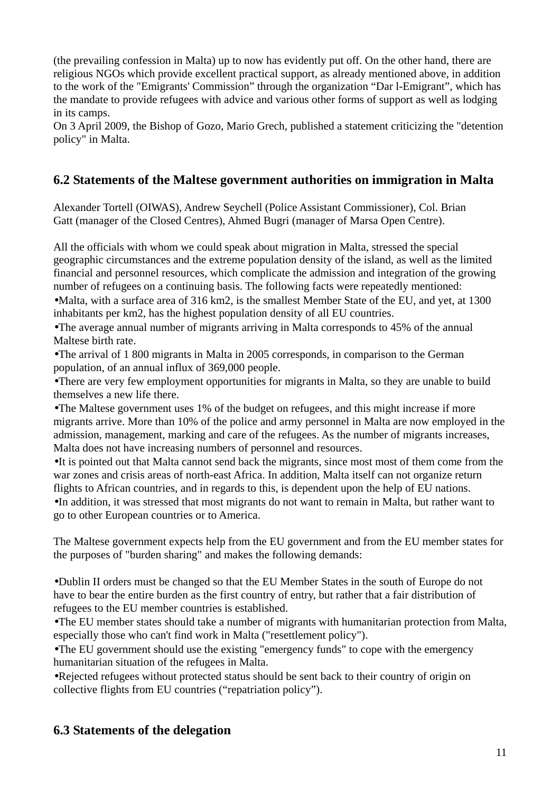(the prevailing confession in Malta) up to now has evidently put off. On the other hand, there are religious NGOs which provide excellent practical support, as already mentioned above, in addition to the work of the "Emigrants' Commission" through the organization "Dar l-Emigrant", which has the mandate to provide refugees with advice and various other forms of support as well as lodging in its camps.

On 3 April 2009, the Bishop of Gozo, Mario Grech, published a statement criticizing the "detention policy" in Malta.

# **6.2 Statements of the Maltese government authorities on immigration in Malta**

Alexander Tortell (OIWAS), Andrew Seychell (Police Assistant Commissioner), Col. Brian Gatt (manager of the Closed Centres), Ahmed Bugri (manager of Marsa Open Centre).

All the officials with whom we could speak about migration in Malta, stressed the special geographic circumstances and the extreme population density of the island, as well as the limited financial and personnel resources, which complicate the admission and integration of the growing number of refugees on a continuing basis. The following facts were repeatedly mentioned:

•Malta, with a surface area of 316 km2, is the smallest Member State of the EU, and yet, at 1300 inhabitants per km2, has the highest population density of all EU countries.

•The average annual number of migrants arriving in Malta corresponds to 45% of the annual Maltese birth rate.

•The arrival of 1 800 migrants in Malta in 2005 corresponds, in comparison to the German population, of an annual influx of 369,000 people.

•There are very few employment opportunities for migrants in Malta, so they are unable to build themselves a new life there.

•The Maltese government uses 1% of the budget on refugees, and this might increase if more migrants arrive. More than 10% of the police and army personnel in Malta are now employed in the admission, management, marking and care of the refugees. As the number of migrants increases, Malta does not have increasing numbers of personnel and resources.

•It is pointed out that Malta cannot send back the migrants, since most most of them come from the war zones and crisis areas of north-east Africa. In addition, Malta itself can not organize return flights to African countries, and in regards to this, is dependent upon the help of EU nations. •In addition, it was stressed that most migrants do not want to remain in Malta, but rather want to go to other European countries or to America.

The Maltese government expects help from the EU government and from the EU member states for the purposes of "burden sharing" and makes the following demands:

•Dublin II orders must be changed so that the EU Member States in the south of Europe do not have to bear the entire burden as the first country of entry, but rather that a fair distribution of refugees to the EU member countries is established.

•The EU member states should take a number of migrants with humanitarian protection from Malta, especially those who can't find work in Malta ("resettlement policy").

•The EU government should use the existing "emergency funds" to cope with the emergency humanitarian situation of the refugees in Malta.

•Rejected refugees without protected status should be sent back to their country of origin on collective flights from EU countries ("repatriation policy").

## **6.3 Statements of the delegation**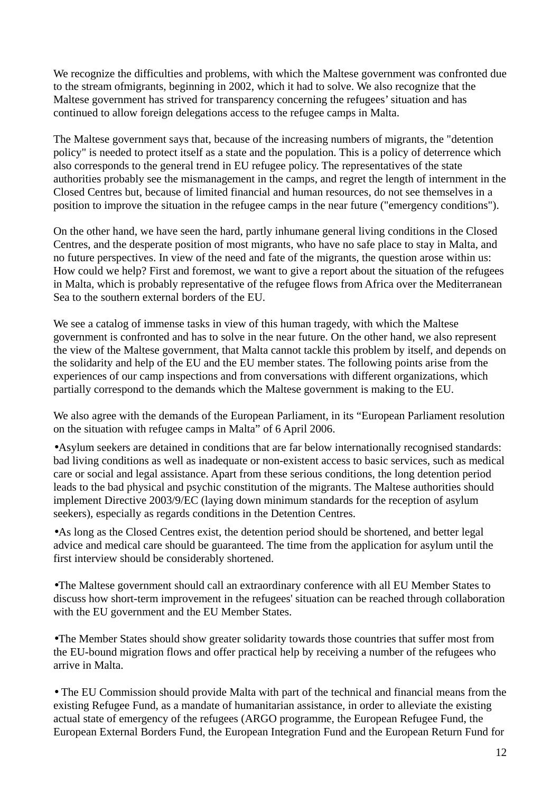We recognize the difficulties and problems, with which the Maltese government was confronted due to the stream ofmigrants, beginning in 2002, which it had to solve. We also recognize that the Maltese government has strived for transparency concerning the refugees' situation and has continued to allow foreign delegations access to the refugee camps in Malta.

The Maltese government says that, because of the increasing numbers of migrants, the "detention policy" is needed to protect itself as a state and the population. This is a policy of deterrence which also corresponds to the general trend in EU refugee policy. The representatives of the state authorities probably see the mismanagement in the camps, and regret the length of internment in the Closed Centres but, because of limited financial and human resources, do not see themselves in a position to improve the situation in the refugee camps in the near future ("emergency conditions").

On the other hand, we have seen the hard, partly inhumane general living conditions in the Closed Centres, and the desperate position of most migrants, who have no safe place to stay in Malta, and no future perspectives. In view of the need and fate of the migrants, the question arose within us: How could we help? First and foremost, we want to give a report about the situation of the refugees in Malta, which is probably representative of the refugee flows from Africa over the Mediterranean Sea to the southern external borders of the EU.

We see a catalog of immense tasks in view of this human tragedy, with which the Maltese government is confronted and has to solve in the near future. On the other hand, we also represent the view of the Maltese government, that Malta cannot tackle this problem by itself, and depends on the solidarity and help of the EU and the EU member states. The following points arise from the experiences of our camp inspections and from conversations with different organizations, which partially correspond to the demands which the Maltese government is making to the EU.

We also agree with the demands of the European Parliament, in its "European Parliament resolution on the situation with refugee camps in Malta" of 6 April 2006.

•Asylum seekers are detained in conditions that are far below internationally recognised standards: bad living conditions as well as inadequate or non-existent access to basic services, such as medical care or social and legal assistance. Apart from these serious conditions, the long detention period leads to the bad physical and psychic constitution of the migrants. The Maltese authorities should implement Directive 2003/9/EC (laying down minimum standards for the reception of asylum seekers), especially as regards conditions in the Detention Centres.

•As long as the Closed Centres exist, the detention period should be shortened, and better legal advice and medical care should be guaranteed. The time from the application for asylum until the first interview should be considerably shortened.

•The Maltese government should call an extraordinary conference with all EU Member States to discuss how short-term improvement in the refugees' situation can be reached through collaboration with the EU government and the EU Member States.

•The Member States should show greater solidarity towards those countries that suffer most from the EU-bound migration flows and offer practical help by receiving a number of the refugees who arrive in Malta.

• The EU Commission should provide Malta with part of the technical and financial means from the existing Refugee Fund, as a mandate of humanitarian assistance, in order to alleviate the existing actual state of emergency of the refugees (ARGO programme, the European Refugee Fund, the European External Borders Fund, the European Integration Fund and the European Return Fund for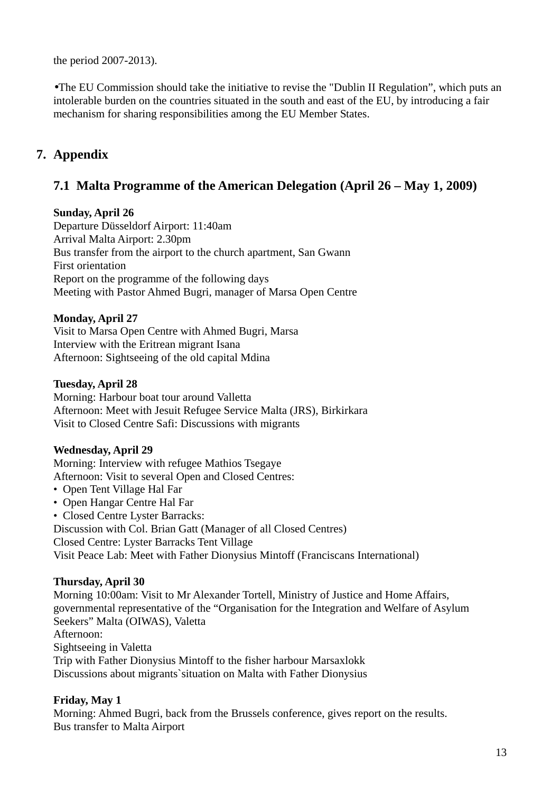the period 2007-2013).

•The EU Commission should take the initiative to revise the "Dublin II Regulation", which puts an intolerable burden on the countries situated in the south and east of the EU, by introducing a fair mechanism for sharing responsibilities among the EU Member States.

# **7. Appendix**

# **7.1 Malta Programme of the American Delegation (April 26 – May 1, 2009)**

### **Sunday, April 26**

Departure Düsseldorf Airport: 11:40am Arrival Malta Airport: 2.30pm Bus transfer from the airport to the church apartment, San Gwann First orientation Report on the programme of the following days Meeting with Pastor Ahmed Bugri, manager of Marsa Open Centre

## **Monday, April 27**

Visit to Marsa Open Centre with Ahmed Bugri, Marsa Interview with the Eritrean migrant Isana Afternoon: Sightseeing of the old capital Mdina

### **Tuesday, April 28**

Morning: Harbour boat tour around Valletta Afternoon: Meet with Jesuit Refugee Service Malta (JRS), Birkirkara Visit to Closed Centre Safi: Discussions with migrants

## **Wednesday, April 29**

Morning: Interview with refugee Mathios Tsegaye Afternoon: Visit to several Open and Closed Centres:

- Open Tent Village Hal Far
- Open Hangar Centre Hal Far
- Closed Centre Lyster Barracks:

Discussion with Col. Brian Gatt (Manager of all Closed Centres)

Closed Centre: Lyster Barracks Tent Village

Visit Peace Lab: Meet with Father Dionysius Mintoff (Franciscans International)

## **Thursday, April 30**

Morning 10:00am: Visit to Mr Alexander Tortell, Ministry of Justice and Home Affairs, governmental representative of the "Organisation for the Integration and Welfare of Asylum Seekers" Malta (OIWAS), Valetta Afternoon: Sightseeing in Valetta Trip with Father Dionysius Mintoff to the fisher harbour Marsaxlokk Discussions about migrants`situation on Malta with Father Dionysius

## **Friday, May 1**

Morning: Ahmed Bugri, back from the Brussels conference, gives report on the results. Bus transfer to Malta Airport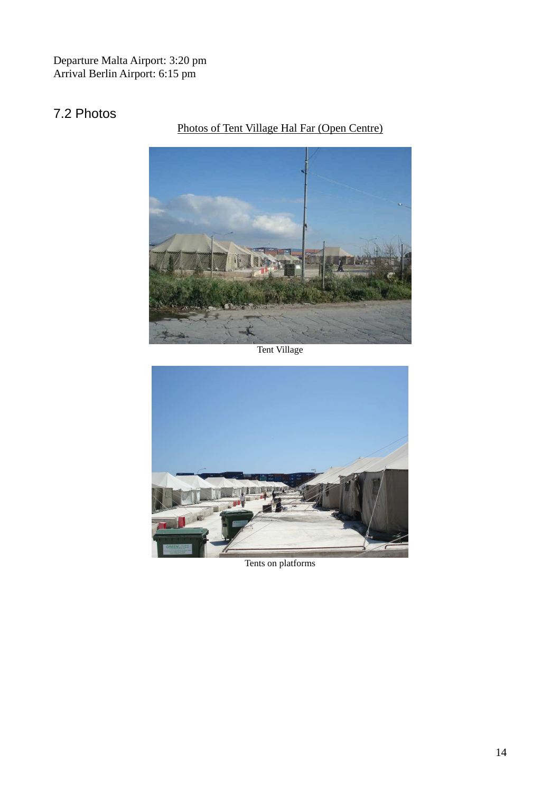Departure Malta Airport: 3:20 pm Arrival Berlin Airport: 6:15 pm

# 7.2 Photos

Photos of Tent Village Hal Far (Open Centre)



Tent Village



Tents on platforms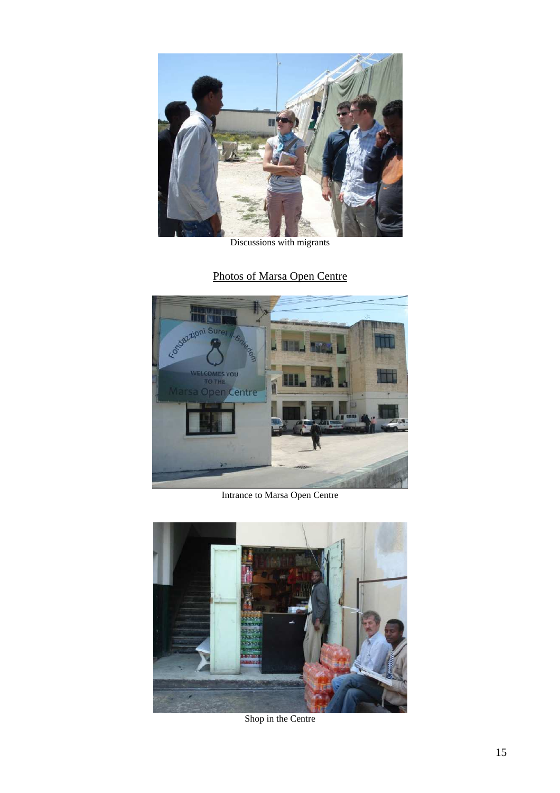

Discussions with migrants

# Photos of Marsa Open Centre



Intrance to Marsa Open Centre



Shop in the Centre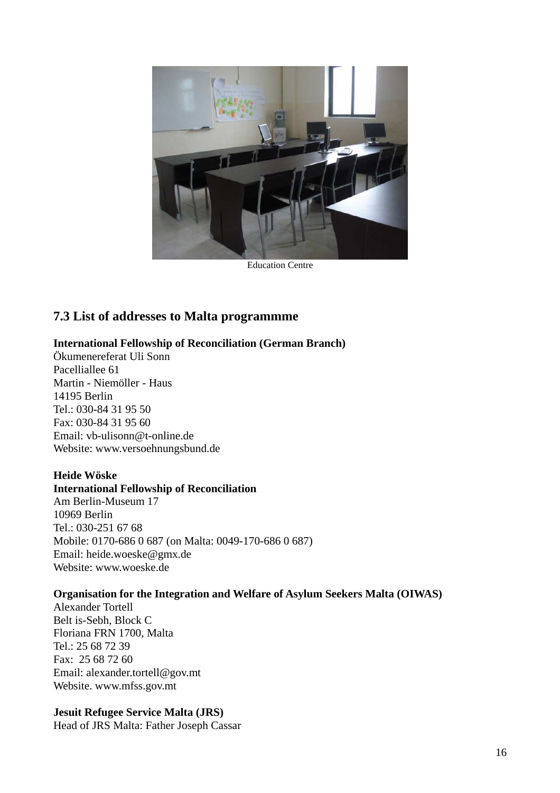

Education Centre

## **7.3 List of addresses to Malta programmme**

#### **International Fellowship of Reconciliation (German Branch)**

Ökumenereferat Uli Sonn Pacelliallee 61 Martin - Niemöller - Haus 14195 Berlin Tel.: 030-84 31 95 50 Fax: 030-84 31 95 60 Email: vb-ulisonn@t-online.de Website: www.versoehnungsbund.de

#### **Heide Wöske**

#### **International Fellowship of Reconciliation**

Am Berlin-Museum 17 10969 Berlin Tel.: 030-251 67 68 Mobile: 0170-686 0 687 (on Malta: 0049-170-686 0 687) Email: heide.woeske@gmx.de Website: www.woeske.de

#### **Organisation for the Integration and Welfare of Asylum Seekers Malta (OIWAS)**

Alexander Tortell Belt is-Sebh, Block C Floriana FRN 1700, Malta Tel.: 25 68 72 39 Fax: 25 68 72 60 Email: alexander.tortell@gov.mt Website. www.mfss.gov.mt

### **Jesuit Refugee Service Malta (JRS)**

Head of JRS Malta: Father Joseph Cassar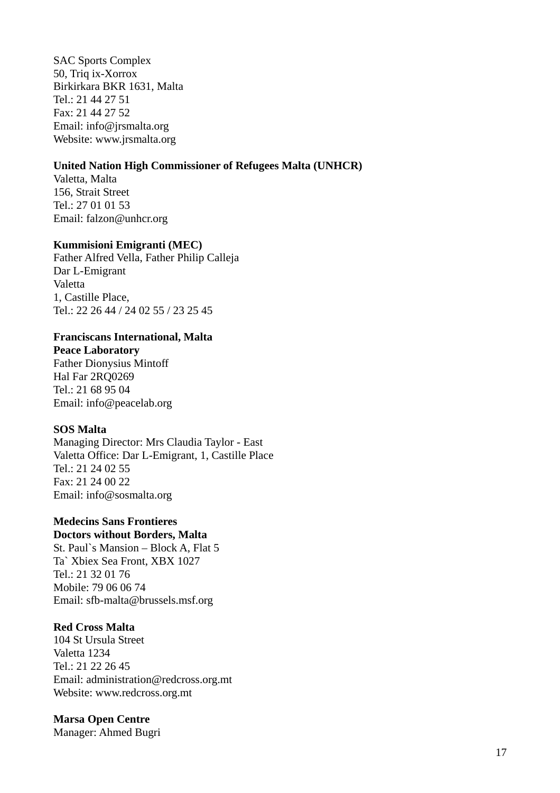SAC Sports Complex 50, Triq ix-Xorrox Birkirkara BKR 1631, Malta Tel.: 21 44 27 51 Fax: 21 44 27 52 Email: info@jrsmalta.org Website: www.jrsmalta.org

#### **United Nation High Commissioner of Refugees Malta (UNHCR)**

Valetta, Malta 156, Strait Street Tel.: 27 01 01 53 Email: falzon@unhcr.org

#### **Kummisioni Emigranti (MEC)**

Father Alfred Vella, Father Philip Calleja Dar L-Emigrant Valetta 1, Castille Place, Tel.: 22 26 44 / 24 02 55 / 23 25 45

### **Franciscans International, Malta**

**Peace Laboratory** Father Dionysius Mintoff Hal Far 2RO0269 Tel.: 21 68 95 04 Email: info@peacelab.org

#### **SOS Malta**

Managing Director: Mrs Claudia Taylor - East Valetta Office: Dar L-Emigrant, 1, Castille Place Tel.: 21 24 02 55 Fax: 21 24 00 22 Email: info@sosmalta.org

### **Medecins Sans Frontieres**

**Doctors without Borders, Malta** 

St. Paul`s Mansion – Block A, Flat 5 Ta` Xbiex Sea Front, XBX 1027  $Tel \cdot 21$  32.01.76 Mobile: 79 06 06 74 Email: sfb-malta@brussels.msf.org

#### **Red Cross Malta**

104 St Ursula Street Valetta 1234 Tel.: 21 22 26 45 Email: administration@redcross.org.mt Website: www.redcross.org.mt

#### **Marsa Open Centre**

Manager: Ahmed Bugri